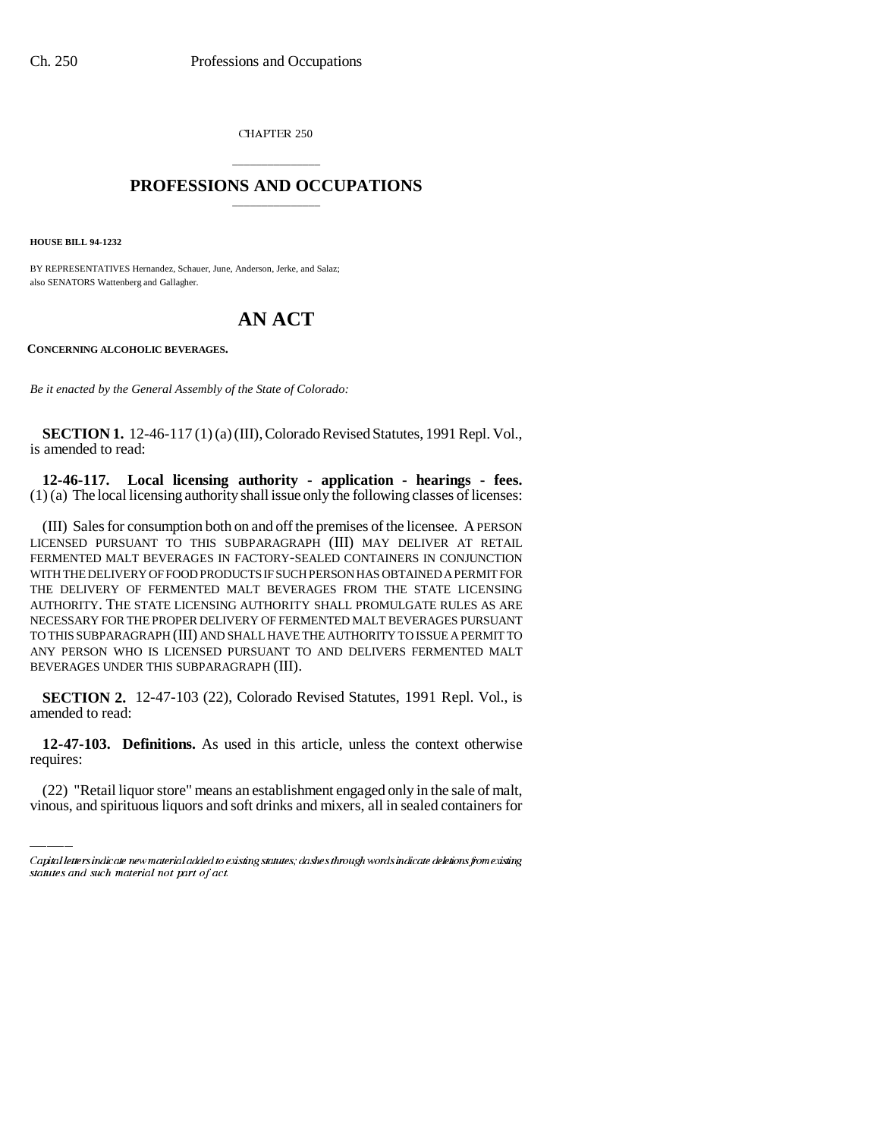CHAPTER 250

## \_\_\_\_\_\_\_\_\_\_\_\_\_\_\_ **PROFESSIONS AND OCCUPATIONS** \_\_\_\_\_\_\_\_\_\_\_\_\_\_\_

**HOUSE BILL 94-1232**

BY REPRESENTATIVES Hernandez, Schauer, June, Anderson, Jerke, and Salaz; also SENATORS Wattenberg and Gallagher.

## **AN ACT**

**CONCERNING ALCOHOLIC BEVERAGES.**

*Be it enacted by the General Assembly of the State of Colorado:*

**SECTION 1.** 12-46-117 (1) (a) (III), Colorado Revised Statutes, 1991 Repl. Vol., is amended to read:

**12-46-117. Local licensing authority - application - hearings - fees.** (1) (a) The local licensing authority shall issue only the following classes of licenses:

(III) Sales for consumption both on and off the premises of the licensee. A PERSON LICENSED PURSUANT TO THIS SUBPARAGRAPH (III) MAY DELIVER AT RETAIL FERMENTED MALT BEVERAGES IN FACTORY-SEALED CONTAINERS IN CONJUNCTION WITH THE DELIVERY OF FOOD PRODUCTS IF SUCH PERSON HAS OBTAINED A PERMIT FOR THE DELIVERY OF FERMENTED MALT BEVERAGES FROM THE STATE LICENSING AUTHORITY. THE STATE LICENSING AUTHORITY SHALL PROMULGATE RULES AS ARE NECESSARY FOR THE PROPER DELIVERY OF FERMENTED MALT BEVERAGES PURSUANT TO THIS SUBPARAGRAPH (III) AND SHALL HAVE THE AUTHORITY TO ISSUE A PERMIT TO ANY PERSON WHO IS LICENSED PURSUANT TO AND DELIVERS FERMENTED MALT BEVERAGES UNDER THIS SUBPARAGRAPH (III).

**SECTION 2.** 12-47-103 (22), Colorado Revised Statutes, 1991 Repl. Vol., is amended to read:

 **12-47-103. Definitions.** As used in this article, unless the context otherwise requires:

(22) "Retail liquor store" means an establishment engaged only in the sale of malt, vinous, and spirituous liquors and soft drinks and mixers, all in sealed containers for

Capital letters indicate new material added to existing statutes; dashes through words indicate deletions from existing statutes and such material not part of act.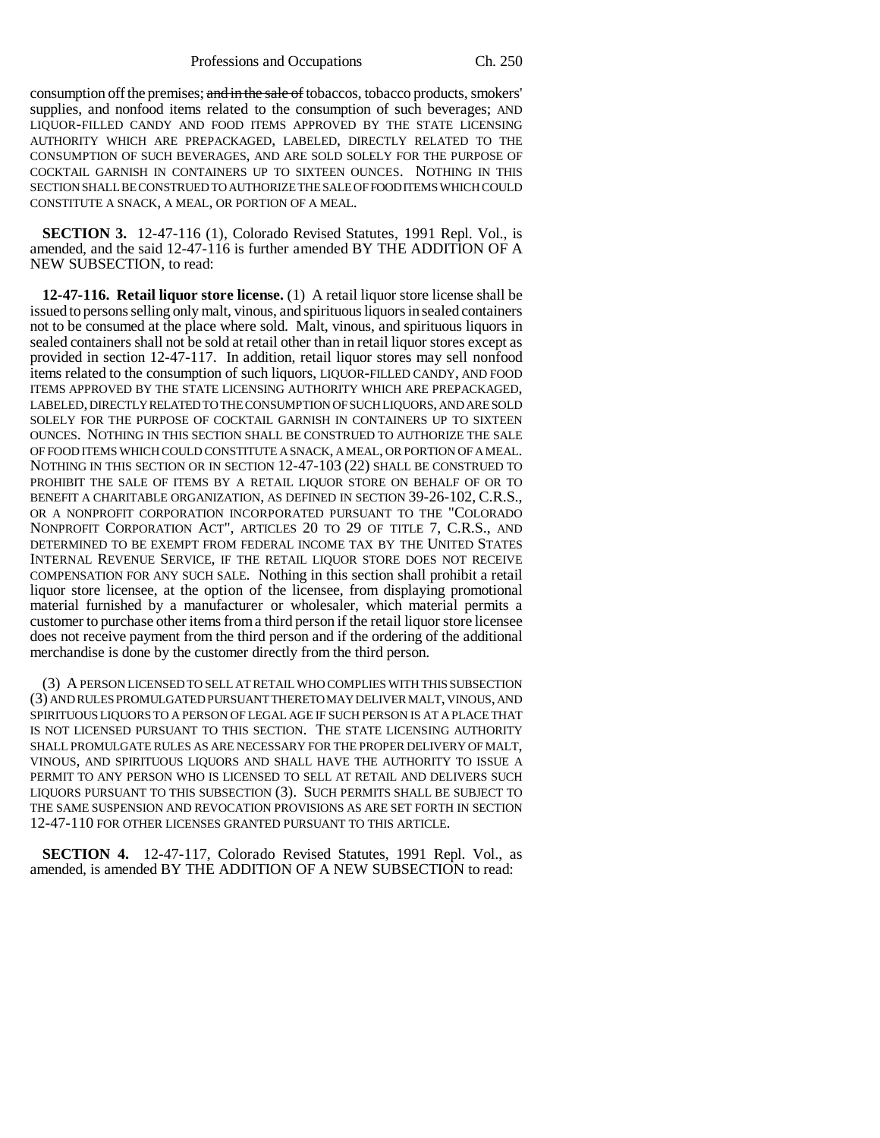Professions and Occupations Ch. 250

consumption off the premises; and in the sale of tobaccos, tobacco products, smokers' supplies, and nonfood items related to the consumption of such beverages; AND LIQUOR-FILLED CANDY AND FOOD ITEMS APPROVED BY THE STATE LICENSING AUTHORITY WHICH ARE PREPACKAGED, LABELED, DIRECTLY RELATED TO THE CONSUMPTION OF SUCH BEVERAGES, AND ARE SOLD SOLELY FOR THE PURPOSE OF COCKTAIL GARNISH IN CONTAINERS UP TO SIXTEEN OUNCES. NOTHING IN THIS SECTION SHALL BE CONSTRUED TO AUTHORIZE THE SALE OF FOOD ITEMS WHICH COULD CONSTITUTE A SNACK, A MEAL, OR PORTION OF A MEAL.

**SECTION 3.** 12-47-116 (1), Colorado Revised Statutes, 1991 Repl. Vol., is amended, and the said 12-47-116 is further amended BY THE ADDITION OF A NEW SUBSECTION, to read:

**12-47-116. Retail liquor store license.** (1) A retail liquor store license shall be issued to persons selling only malt, vinous, and spirituous liquors in sealed containers not to be consumed at the place where sold. Malt, vinous, and spirituous liquors in sealed containers shall not be sold at retail other than in retail liquor stores except as provided in section 12-47-117. In addition, retail liquor stores may sell nonfood items related to the consumption of such liquors, LIQUOR-FILLED CANDY, AND FOOD ITEMS APPROVED BY THE STATE LICENSING AUTHORITY WHICH ARE PREPACKAGED, LABELED, DIRECTLY RELATED TO THE CONSUMPTION OF SUCH LIQUORS, AND ARE SOLD SOLELY FOR THE PURPOSE OF COCKTAIL GARNISH IN CONTAINERS UP TO SIXTEEN OUNCES. NOTHING IN THIS SECTION SHALL BE CONSTRUED TO AUTHORIZE THE SALE OF FOOD ITEMS WHICH COULD CONSTITUTE A SNACK, A MEAL, OR PORTION OF A MEAL. NOTHING IN THIS SECTION OR IN SECTION 12-47-103 (22) SHALL BE CONSTRUED TO PROHIBIT THE SALE OF ITEMS BY A RETAIL LIQUOR STORE ON BEHALF OF OR TO BENEFIT A CHARITABLE ORGANIZATION, AS DEFINED IN SECTION 39-26-102, C.R.S., OR A NONPROFIT CORPORATION INCORPORATED PURSUANT TO THE "COLORADO NONPROFIT CORPORATION ACT", ARTICLES 20 TO 29 OF TITLE 7, C.R.S., AND DETERMINED TO BE EXEMPT FROM FEDERAL INCOME TAX BY THE UNITED STATES INTERNAL REVENUE SERVICE, IF THE RETAIL LIQUOR STORE DOES NOT RECEIVE COMPENSATION FOR ANY SUCH SALE. Nothing in this section shall prohibit a retail liquor store licensee, at the option of the licensee, from displaying promotional material furnished by a manufacturer or wholesaler, which material permits a customer to purchase other items from a third person if the retail liquor store licensee does not receive payment from the third person and if the ordering of the additional merchandise is done by the customer directly from the third person.

(3) A PERSON LICENSED TO SELL AT RETAIL WHO COMPLIES WITH THIS SUBSECTION (3) AND RULES PROMULGATED PURSUANT THERETO MAY DELIVER MALT, VINOUS, AND SPIRITUOUS LIQUORS TO A PERSON OF LEGAL AGE IF SUCH PERSON IS AT A PLACE THAT IS NOT LICENSED PURSUANT TO THIS SECTION. THE STATE LICENSING AUTHORITY SHALL PROMULGATE RULES AS ARE NECESSARY FOR THE PROPER DELIVERY OF MALT, VINOUS, AND SPIRITUOUS LIQUORS AND SHALL HAVE THE AUTHORITY TO ISSUE A PERMIT TO ANY PERSON WHO IS LICENSED TO SELL AT RETAIL AND DELIVERS SUCH LIQUORS PURSUANT TO THIS SUBSECTION (3). SUCH PERMITS SHALL BE SUBJECT TO THE SAME SUSPENSION AND REVOCATION PROVISIONS AS ARE SET FORTH IN SECTION 12-47-110 FOR OTHER LICENSES GRANTED PURSUANT TO THIS ARTICLE.

**SECTION 4.** 12-47-117, Colorado Revised Statutes, 1991 Repl. Vol., as amended, is amended BY THE ADDITION OF A NEW SUBSECTION to read: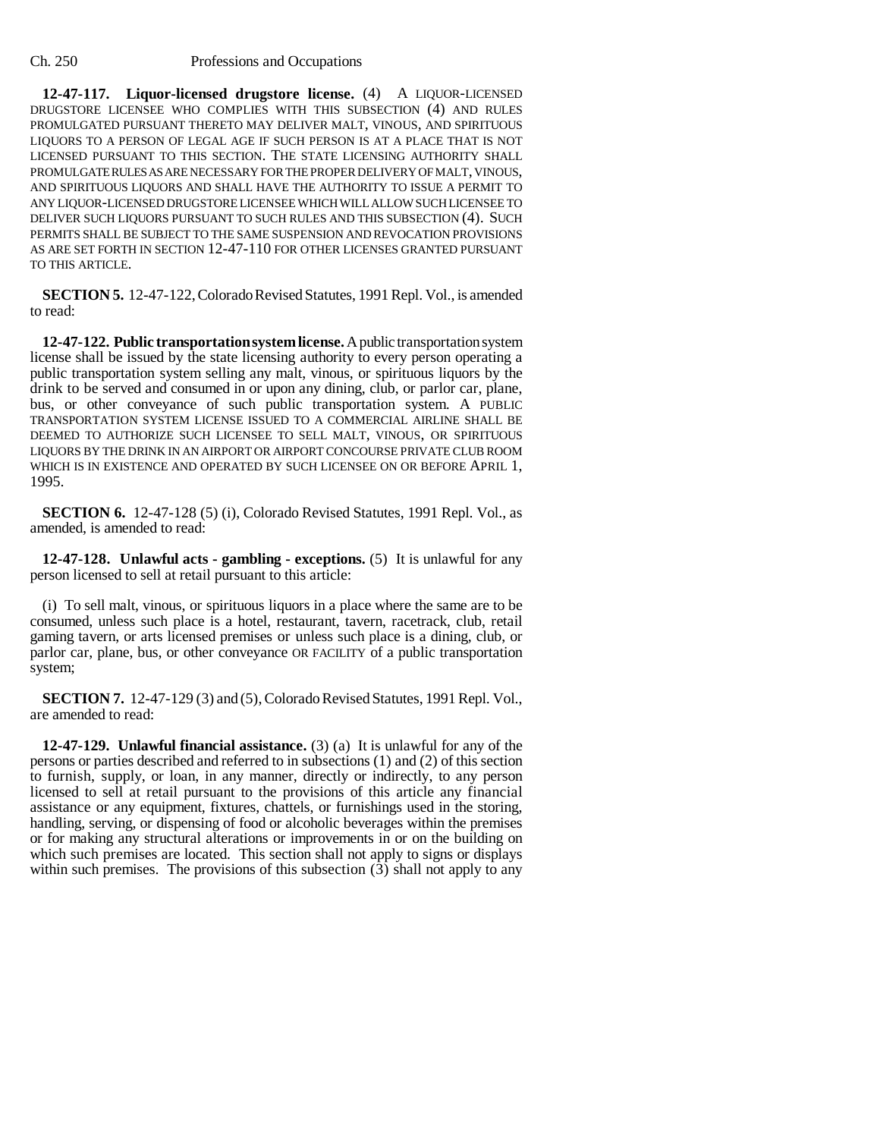**12-47-117. Liquor-licensed drugstore license.** (4) A LIQUOR-LICENSED DRUGSTORE LICENSEE WHO COMPLIES WITH THIS SUBSECTION (4) AND RULES PROMULGATED PURSUANT THERETO MAY DELIVER MALT, VINOUS, AND SPIRITUOUS LIQUORS TO A PERSON OF LEGAL AGE IF SUCH PERSON IS AT A PLACE THAT IS NOT LICENSED PURSUANT TO THIS SECTION. THE STATE LICENSING AUTHORITY SHALL PROMULGATE RULES AS ARE NECESSARY FOR THE PROPER DELIVERY OF MALT, VINOUS, AND SPIRITUOUS LIQUORS AND SHALL HAVE THE AUTHORITY TO ISSUE A PERMIT TO ANY LIQUOR-LICENSED DRUGSTORE LICENSEE WHICH WILL ALLOW SUCH LICENSEE TO DELIVER SUCH LIQUORS PURSUANT TO SUCH RULES AND THIS SUBSECTION (4). SUCH PERMITS SHALL BE SUBJECT TO THE SAME SUSPENSION AND REVOCATION PROVISIONS AS ARE SET FORTH IN SECTION 12-47-110 FOR OTHER LICENSES GRANTED PURSUANT TO THIS ARTICLE.

**SECTION 5.** 12-47-122, Colorado Revised Statutes, 1991 Repl. Vol., is amended to read:

**12-47-122. Public transportation system license.** A public transportation system license shall be issued by the state licensing authority to every person operating a public transportation system selling any malt, vinous, or spirituous liquors by the drink to be served and consumed in or upon any dining, club, or parlor car, plane, bus, or other conveyance of such public transportation system. A PUBLIC TRANSPORTATION SYSTEM LICENSE ISSUED TO A COMMERCIAL AIRLINE SHALL BE DEEMED TO AUTHORIZE SUCH LICENSEE TO SELL MALT, VINOUS, OR SPIRITUOUS LIQUORS BY THE DRINK IN AN AIRPORT OR AIRPORT CONCOURSE PRIVATE CLUB ROOM WHICH IS IN EXISTENCE AND OPERATED BY SUCH LICENSEE ON OR BEFORE APRIL 1, 1995.

**SECTION 6.** 12-47-128 (5) (i), Colorado Revised Statutes, 1991 Repl. Vol., as amended, is amended to read:

**12-47-128. Unlawful acts - gambling - exceptions.** (5) It is unlawful for any person licensed to sell at retail pursuant to this article:

(i) To sell malt, vinous, or spirituous liquors in a place where the same are to be consumed, unless such place is a hotel, restaurant, tavern, racetrack, club, retail gaming tavern, or arts licensed premises or unless such place is a dining, club, or parlor car, plane, bus, or other conveyance OR FACILITY of a public transportation system;

**SECTION 7.** 12-47-129 (3) and (5), Colorado Revised Statutes, 1991 Repl. Vol., are amended to read:

**12-47-129. Unlawful financial assistance.** (3) (a) It is unlawful for any of the persons or parties described and referred to in subsections (1) and (2) of this section to furnish, supply, or loan, in any manner, directly or indirectly, to any person licensed to sell at retail pursuant to the provisions of this article any financial assistance or any equipment, fixtures, chattels, or furnishings used in the storing, handling, serving, or dispensing of food or alcoholic beverages within the premises or for making any structural alterations or improvements in or on the building on which such premises are located. This section shall not apply to signs or displays within such premises. The provisions of this subsection  $(3)$  shall not apply to any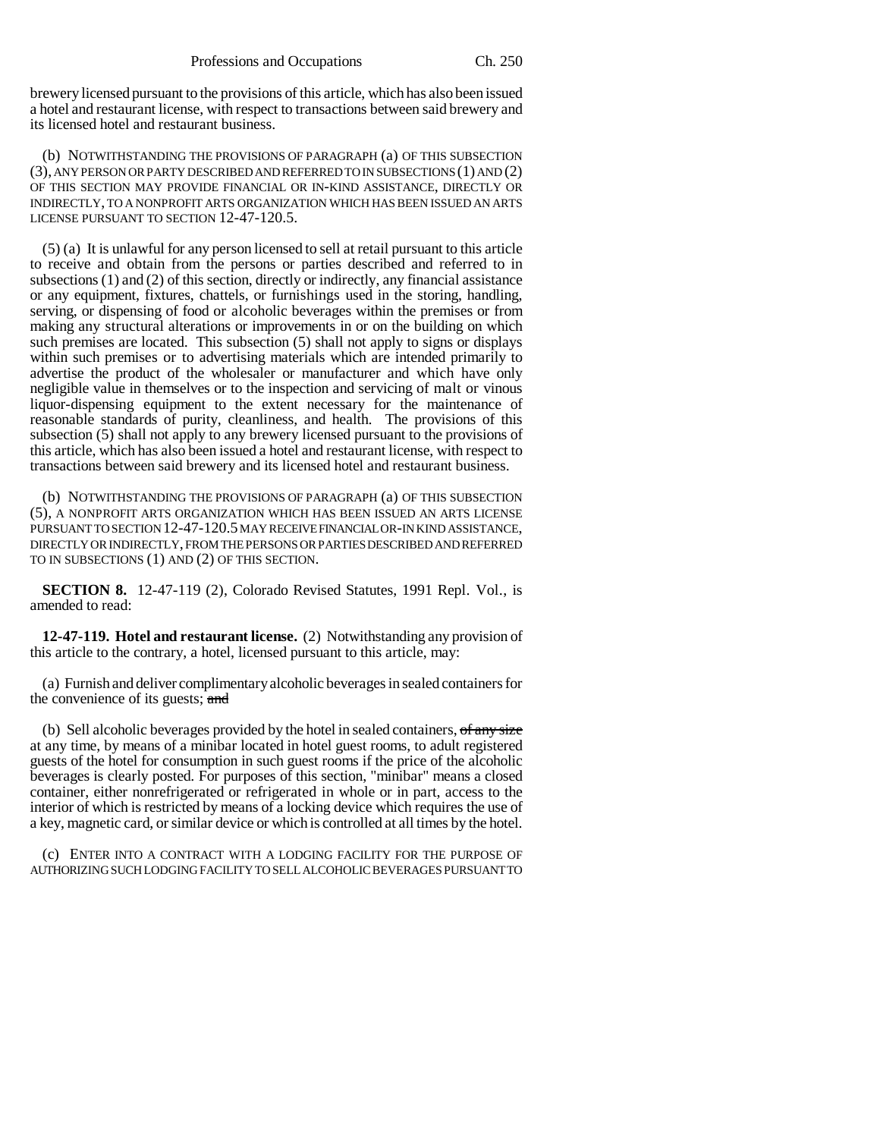brewery licensed pursuant to the provisions of this article, which has also been issued a hotel and restaurant license, with respect to transactions between said brewery and its licensed hotel and restaurant business.

(b) NOTWITHSTANDING THE PROVISIONS OF PARAGRAPH (a) OF THIS SUBSECTION (3), ANY PERSON OR PARTY DESCRIBED AND REFERRED TO IN SUBSECTIONS (1) AND (2) OF THIS SECTION MAY PROVIDE FINANCIAL OR IN-KIND ASSISTANCE, DIRECTLY OR INDIRECTLY, TO A NONPROFIT ARTS ORGANIZATION WHICH HAS BEEN ISSUED AN ARTS LICENSE PURSUANT TO SECTION 12-47-120.5.

(5) (a) It is unlawful for any person licensed to sell at retail pursuant to this article to receive and obtain from the persons or parties described and referred to in subsections (1) and (2) of this section, directly or indirectly, any financial assistance or any equipment, fixtures, chattels, or furnishings used in the storing, handling, serving, or dispensing of food or alcoholic beverages within the premises or from making any structural alterations or improvements in or on the building on which such premises are located. This subsection (5) shall not apply to signs or displays within such premises or to advertising materials which are intended primarily to advertise the product of the wholesaler or manufacturer and which have only negligible value in themselves or to the inspection and servicing of malt or vinous liquor-dispensing equipment to the extent necessary for the maintenance of reasonable standards of purity, cleanliness, and health. The provisions of this subsection (5) shall not apply to any brewery licensed pursuant to the provisions of this article, which has also been issued a hotel and restaurant license, with respect to transactions between said brewery and its licensed hotel and restaurant business.

(b) NOTWITHSTANDING THE PROVISIONS OF PARAGRAPH (a) OF THIS SUBSECTION (5), A NONPROFIT ARTS ORGANIZATION WHICH HAS BEEN ISSUED AN ARTS LICENSE PURSUANT TO SECTION 12-47-120.5 MAY RECEIVE FINANCIAL OR-IN KIND ASSISTANCE, DIRECTLY OR INDIRECTLY, FROM THE PERSONS OR PARTIES DESCRIBED AND REFERRED TO IN SUBSECTIONS (1) AND (2) OF THIS SECTION.

**SECTION 8.** 12-47-119 (2), Colorado Revised Statutes, 1991 Repl. Vol., is amended to read:

**12-47-119. Hotel and restaurant license.** (2) Notwithstanding any provision of this article to the contrary, a hotel, licensed pursuant to this article, may:

(a) Furnish and deliver complimentary alcoholic beverages in sealed containers for the convenience of its guests; and

(b) Sell alcoholic beverages provided by the hotel in sealed containers,  $\sigma f$  any size at any time, by means of a minibar located in hotel guest rooms, to adult registered guests of the hotel for consumption in such guest rooms if the price of the alcoholic beverages is clearly posted. For purposes of this section, "minibar" means a closed container, either nonrefrigerated or refrigerated in whole or in part, access to the interior of which is restricted by means of a locking device which requires the use of a key, magnetic card, or similar device or which is controlled at all times by the hotel.

(c) ENTER INTO A CONTRACT WITH A LODGING FACILITY FOR THE PURPOSE OF AUTHORIZING SUCH LODGING FACILITY TO SELL ALCOHOLIC BEVERAGES PURSUANT TO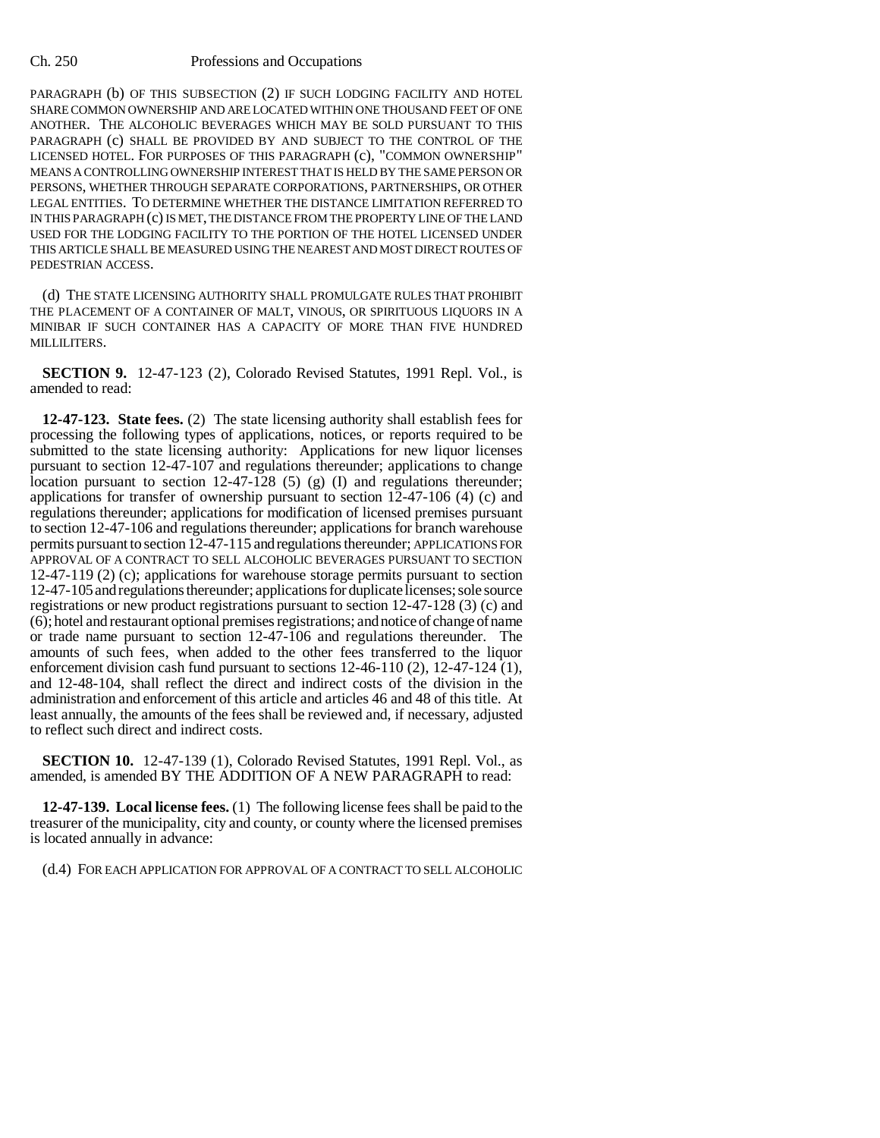## Ch. 250 Professions and Occupations

PARAGRAPH (b) OF THIS SUBSECTION (2) IF SUCH LODGING FACILITY AND HOTEL SHARE COMMON OWNERSHIP AND ARE LOCATED WITHIN ONE THOUSAND FEET OF ONE ANOTHER. THE ALCOHOLIC BEVERAGES WHICH MAY BE SOLD PURSUANT TO THIS PARAGRAPH (c) SHALL BE PROVIDED BY AND SUBJECT TO THE CONTROL OF THE LICENSED HOTEL. FOR PURPOSES OF THIS PARAGRAPH (c), "COMMON OWNERSHIP" MEANS A CONTROLLING OWNERSHIP INTEREST THAT IS HELD BY THE SAME PERSON OR PERSONS, WHETHER THROUGH SEPARATE CORPORATIONS, PARTNERSHIPS, OR OTHER LEGAL ENTITIES. TO DETERMINE WHETHER THE DISTANCE LIMITATION REFERRED TO IN THIS PARAGRAPH (c) IS MET, THE DISTANCE FROM THE PROPERTY LINE OF THE LAND USED FOR THE LODGING FACILITY TO THE PORTION OF THE HOTEL LICENSED UNDER THIS ARTICLE SHALL BE MEASURED USING THE NEAREST AND MOST DIRECT ROUTES OF PEDESTRIAN ACCESS.

(d) THE STATE LICENSING AUTHORITY SHALL PROMULGATE RULES THAT PROHIBIT THE PLACEMENT OF A CONTAINER OF MALT, VINOUS, OR SPIRITUOUS LIQUORS IN A MINIBAR IF SUCH CONTAINER HAS A CAPACITY OF MORE THAN FIVE HUNDRED MILLILITERS.

**SECTION 9.** 12-47-123 (2), Colorado Revised Statutes, 1991 Repl. Vol., is amended to read:

**12-47-123. State fees.** (2) The state licensing authority shall establish fees for processing the following types of applications, notices, or reports required to be submitted to the state licensing authority: Applications for new liquor licenses pursuant to section 12-47-107 and regulations thereunder; applications to change location pursuant to section 12-47-128 (5) (g) (I) and regulations thereunder; applications for transfer of ownership pursuant to section 12-47-106 (4) (c) and regulations thereunder; applications for modification of licensed premises pursuant to section 12-47-106 and regulations thereunder; applications for branch warehouse permits pursuant to section 12-47-115 and regulations thereunder; APPLICATIONS FOR APPROVAL OF A CONTRACT TO SELL ALCOHOLIC BEVERAGES PURSUANT TO SECTION 12-47-119 (2) (c); applications for warehouse storage permits pursuant to section 12-47-105 and regulations thereunder; applications for duplicate licenses; sole source registrations or new product registrations pursuant to section 12-47-128 (3) (c) and (6); hotel and restaurant optional premises registrations; and notice of change of name or trade name pursuant to section 12-47-106 and regulations thereunder. The amounts of such fees, when added to the other fees transferred to the liquor enforcement division cash fund pursuant to sections 12-46-110 (2), 12-47-124 (1), and 12-48-104, shall reflect the direct and indirect costs of the division in the administration and enforcement of this article and articles 46 and 48 of this title. At least annually, the amounts of the fees shall be reviewed and, if necessary, adjusted to reflect such direct and indirect costs.

**SECTION 10.** 12-47-139 (1), Colorado Revised Statutes, 1991 Repl. Vol., as amended, is amended BY THE ADDITION OF A NEW PARAGRAPH to read:

**12-47-139. Local license fees.** (1) The following license fees shall be paid to the treasurer of the municipality, city and county, or county where the licensed premises is located annually in advance:

(d.4) FOR EACH APPLICATION FOR APPROVAL OF A CONTRACT TO SELL ALCOHOLIC